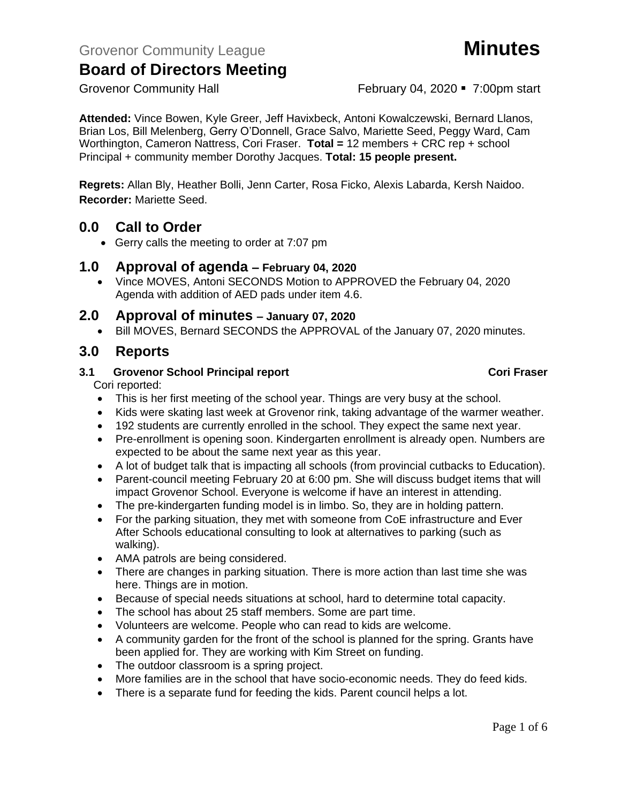Grovenor Community Hall **February 04, 2020** • 7:00pm start

**Attended:** Vince Bowen, Kyle Greer, Jeff Havixbeck, Antoni Kowalczewski, Bernard Llanos, Brian Los, Bill Melenberg, Gerry O'Donnell, Grace Salvo, Mariette Seed, Peggy Ward, Cam Worthington, Cameron Nattress, Cori Fraser. **Total =** 12 members + CRC rep + school Principal + community member Dorothy Jacques. **Total: 15 people present.**

**Regrets:** Allan Bly, Heather Bolli, Jenn Carter, Rosa Ficko, Alexis Labarda, Kersh Naidoo. **Recorder:** Mariette Seed.

## **0.0 Call to Order**

• Gerry calls the meeting to order at 7:07 pm

### **1.0 Approval of agenda – February 04, 2020**

• Vince MOVES, Antoni SECONDS Motion to APPROVED the February 04, 2020 Agenda with addition of AED pads under item 4.6.

## **2.0 Approval of minutes – January 07, 2020**

• Bill MOVES, Bernard SECONDS the APPROVAL of the January 07, 2020 minutes.

## **3.0 Reports**

### **3.1 Grovenor School Principal report Cori Fraser**

Cori reported:

- This is her first meeting of the school year. Things are very busy at the school.
- Kids were skating last week at Grovenor rink, taking advantage of the warmer weather.
- 192 students are currently enrolled in the school. They expect the same next year.
- Pre-enrollment is opening soon. Kindergarten enrollment is already open. Numbers are expected to be about the same next year as this year.
- A lot of budget talk that is impacting all schools (from provincial cutbacks to Education).
- Parent-council meeting February 20 at 6:00 pm. She will discuss budget items that will impact Grovenor School. Everyone is welcome if have an interest in attending.
- The pre-kindergarten funding model is in limbo. So, they are in holding pattern.
- For the parking situation, they met with someone from CoE infrastructure and Ever After Schools educational consulting to look at alternatives to parking (such as walking).
- AMA patrols are being considered.
- There are changes in parking situation. There is more action than last time she was here. Things are in motion.
- Because of special needs situations at school, hard to determine total capacity.
- The school has about 25 staff members. Some are part time.
- Volunteers are welcome. People who can read to kids are welcome.
- A community garden for the front of the school is planned for the spring. Grants have been applied for. They are working with Kim Street on funding.
- The outdoor classroom is a spring project.
- More families are in the school that have socio-economic needs. They do feed kids.
- There is a separate fund for feeding the kids. Parent council helps a lot.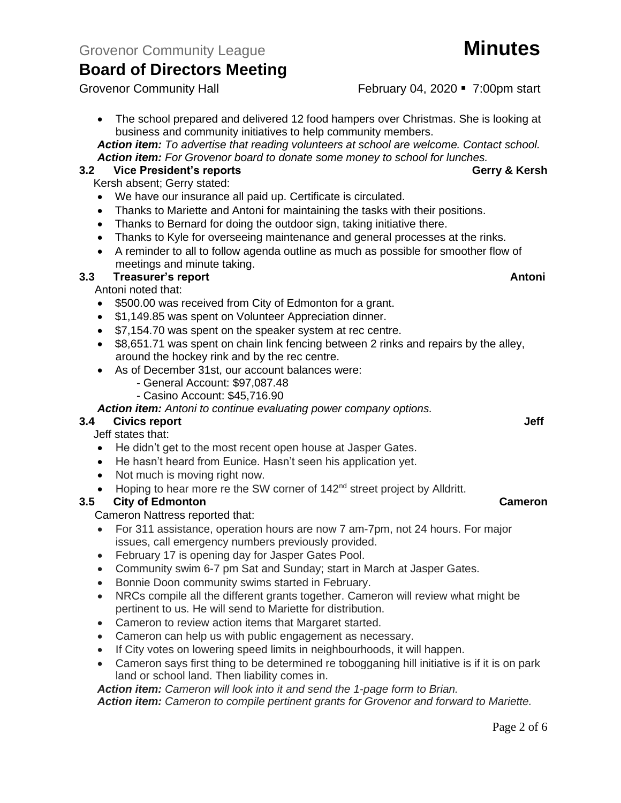Grovenor Community Hall **February 04, 2020** • 7:00pm start

• The school prepared and delivered 12 food hampers over Christmas. She is looking at business and community initiatives to help community members.

*Action item: To advertise that reading volunteers at school are welcome. Contact school. Action item: For Grovenor board to donate some money to school for lunches.*

### **3.2 Vice President's reports Gerry & Kersh**

Kersh absent; Gerry stated:

- We have our insurance all paid up. Certificate is circulated.
- Thanks to Mariette and Antoni for maintaining the tasks with their positions.
- Thanks to Bernard for doing the outdoor sign, taking initiative there.
- Thanks to Kyle for overseeing maintenance and general processes at the rinks.
- A reminder to all to follow agenda outline as much as possible for smoother flow of meetings and minute taking.

#### **3.3 Treasurer's report Antoni**

Antoni noted that:

- \$500.00 was received from City of Edmonton for a grant.
- \$1,149.85 was spent on Volunteer Appreciation dinner.
- \$7,154.70 was spent on the speaker system at rec centre.
- \$8,651.71 was spent on chain link fencing between 2 rinks and repairs by the alley, around the hockey rink and by the rec centre.
- As of December 31st, our account balances were:
	- General Account: \$97,087.48
	- Casino Account: \$45,716.90

*Action item: Antoni to continue evaluating power company options.*

#### **3.4 Civics report Jeff**

Jeff states that:

- He didn't get to the most recent open house at Jasper Gates.
- He hasn't heard from Eunice. Hasn't seen his application yet.
- Not much is moving right now.
- Hoping to hear more re the SW corner of  $142<sup>nd</sup>$  street project by Alldritt.

#### **3.5 City of Edmonton Cameron**

Cameron Nattress reported that:

- For 311 assistance, operation hours are now 7 am-7pm, not 24 hours. For major issues, call emergency numbers previously provided.
- February 17 is opening day for Jasper Gates Pool.
- Community swim 6-7 pm Sat and Sunday; start in March at Jasper Gates.
- Bonnie Doon community swims started in February.
- NRCs compile all the different grants together. Cameron will review what might be pertinent to us. He will send to Mariette for distribution.
- Cameron to review action items that Margaret started.
- Cameron can help us with public engagement as necessary.
- If City votes on lowering speed limits in neighbourhoods, it will happen.
- Cameron says first thing to be determined re tobogganing hill initiative is if it is on park land or school land. Then liability comes in.

*Action item: Cameron will look into it and send the 1-page form to Brian. Action item: Cameron to compile pertinent grants for Grovenor and forward to Mariette.*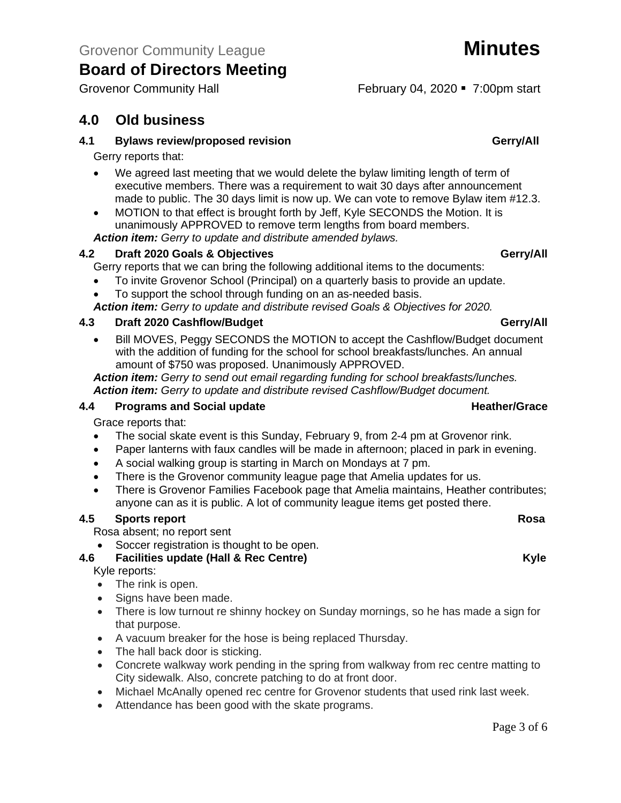# **4.0 Old business**

#### **4.1 Bylaws review/proposed revision Gerry/All**

Gerry reports that:

- We agreed last meeting that we would delete the bylaw limiting length of term of executive members. There was a requirement to wait 30 days after announcement made to public. The 30 days limit is now up. We can vote to remove Bylaw item #12.3.
- MOTION to that effect is brought forth by Jeff, Kyle SECONDS the Motion. It is unanimously APPROVED to remove term lengths from board members.

*Action item: Gerry to update and distribute amended bylaws.*

### **4.2 Draft 2020 Goals & Objectives Gerry/All**

Gerry reports that we can bring the following additional items to the documents:

- To invite Grovenor School (Principal) on a quarterly basis to provide an update.
- To support the school through funding on an as-needed basis.

*Action item: Gerry to update and distribute revised Goals & Objectives for 2020.*

### **4.3 Draft 2020 Cashflow/Budget Gerry/All**

• Bill MOVES, Peggy SECONDS the MOTION to accept the Cashflow/Budget document with the addition of funding for the school for school breakfasts/lunches. An annual amount of \$750 was proposed. Unanimously APPROVED.

*Action item: Gerry to send out email regarding funding for school breakfasts/lunches. Action item: Gerry to update and distribute revised Cashflow/Budget document.*

#### **4.4 • Programs and Social update <b>Heather/Grace Heather/Grace**

Grace reports that:

- The social skate event is this Sunday, February 9, from 2-4 pm at Grovenor rink.
- Paper lanterns with faux candles will be made in afternoon; placed in park in evening.
- A social walking group is starting in March on Mondays at 7 pm.
- There is the Grovenor community league page that Amelia updates for us.
- There is Grovenor Families Facebook page that Amelia maintains, Heather contributes; anyone can as it is public. A lot of community league items get posted there.

#### **4.5** Sports report Rosa

Rosa absent; no report sent

• Soccer registration is thought to be open.

### **4.6 Facilities update (Hall & Rec Centre) Kyle**

Kyle reports:

- The rink is open.
- Signs have been made.
- There is low turnout re shinny hockey on Sunday mornings, so he has made a sign for that purpose.
- A vacuum breaker for the hose is being replaced Thursday.
- The hall back door is sticking.
- Concrete walkway work pending in the spring from walkway from rec centre matting to City sidewalk. Also, concrete patching to do at front door.
- Michael McAnally opened rec centre for Grovenor students that used rink last week.
- Attendance has been good with the skate programs.

Grovenor Community Hall **February 04, 2020** • 7:00pm start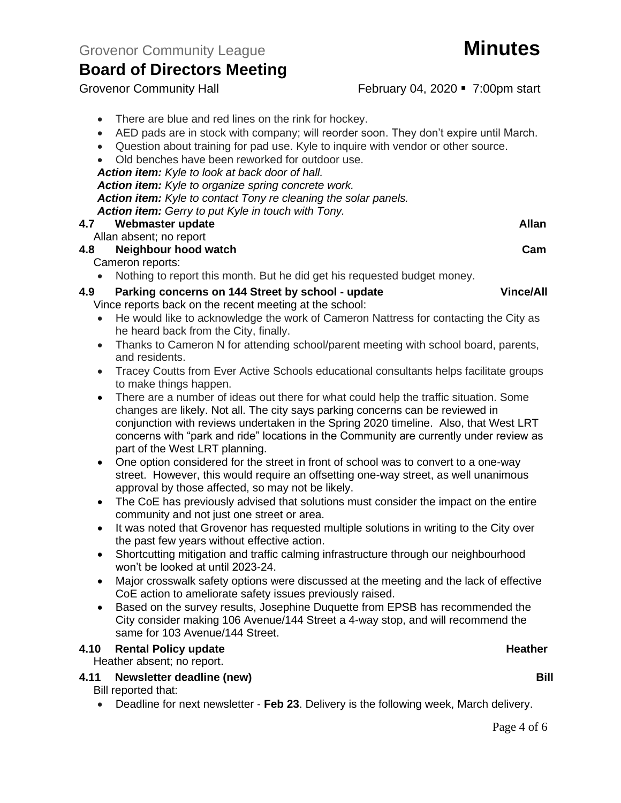• AED pads are in stock with company; will reorder soon. They don't expire until March.

• Old benches have been reworked for outdoor use.

• There are blue and red lines on the rink for hockey.

*Action item: Kyle to look at back door of hall.*

*Action item: Kyle to organize spring concrete work.*

*Action item: Kyle to contact Tony re cleaning the solar panels.*

*Action item: Gerry to put Kyle in touch with Tony.*

#### **4.7 Webmaster update Allan**

Allan absent; no report

Cameron reports:

• Nothing to report this month. But he did get his requested budget money.

Vince reports back on the recent meeting at the school:

- He would like to acknowledge the work of Cameron Nattress for contacting the City as he heard back from the City, finally.
- Thanks to Cameron N for attending school/parent meeting with school board, parents, and residents.
- Tracey Coutts from Ever Active Schools educational consultants helps facilitate groups to make things happen.
- There are a number of ideas out there for what could help the traffic situation. Some changes are likely. Not all. The city says parking concerns can be reviewed in conjunction with reviews undertaken in the Spring 2020 timeline. Also, that West LRT concerns with "park and ride" locations in the Community are currently under review as part of the West LRT planning.
- One option considered for the street in front of school was to convert to a one-way street. However, this would require an offsetting one-way street, as well unanimous approval by those affected, so may not be likely.
- The CoE has previously advised that solutions must consider the impact on the entire community and not just one street or area.
- It was noted that Grovenor has requested multiple solutions in writing to the City over the past few years without effective action.
- Shortcutting mitigation and traffic calming infrastructure through our neighbourhood won't be looked at until 2023-24.
- Major crosswalk safety options were discussed at the meeting and the lack of effective CoE action to ameliorate safety issues previously raised.
- Based on the survey results, Josephine Duquette from EPSB has recommended the City consider making 106 Avenue/144 Street a 4-way stop, and will recommend the same for 103 Avenue/144 Street.

#### **4.10 Rental Policy update <b>Heather Heather Heather Heather**

Heather absent; no report.

#### **4.11 Newsletter deadline (new) Bill**

Bill reported that:

• Deadline for next newsletter - **Feb 23**. Delivery is the following week, March delivery.

Grovenor Community Hall **February 04, 2020** • 7:00pm start



**4.8 Neighbour hood watch Cam 4.9 Parking concerns on 144 Street by school - update Vince/All**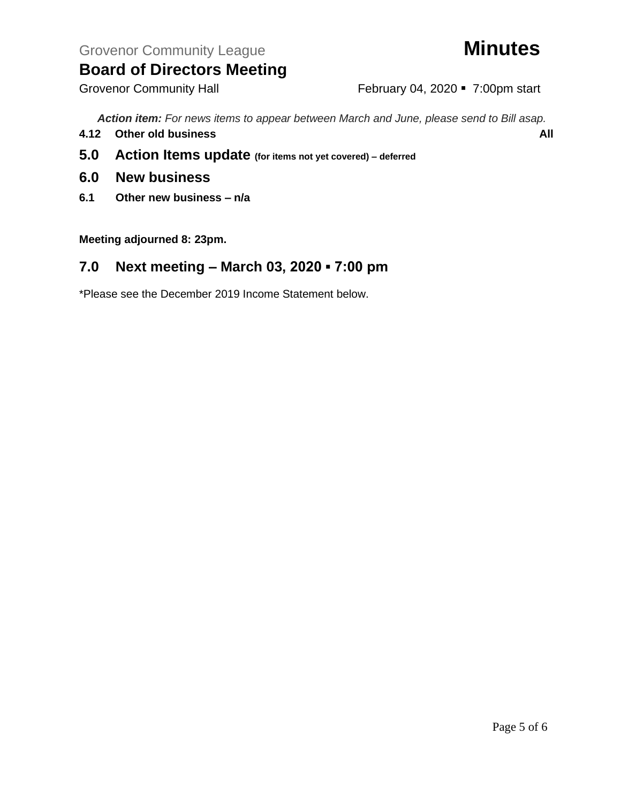Grovenor Community Hall **February 04, 2020** • 7:00pm start

*Action item: For news items to appear between March and June, please send to Bill asap.*

- **4.12 Other old business All**
- **5.0 Action Items update (for items not yet covered) – deferred**
- **6.0 New business**
- **6.1 Other new business – n/a**

**Meeting adjourned 8: 23pm.**

## **7.0 Next meeting – March 03, 2020 ▪ 7:00 pm**

\*Please see the December 2019 Income Statement below.